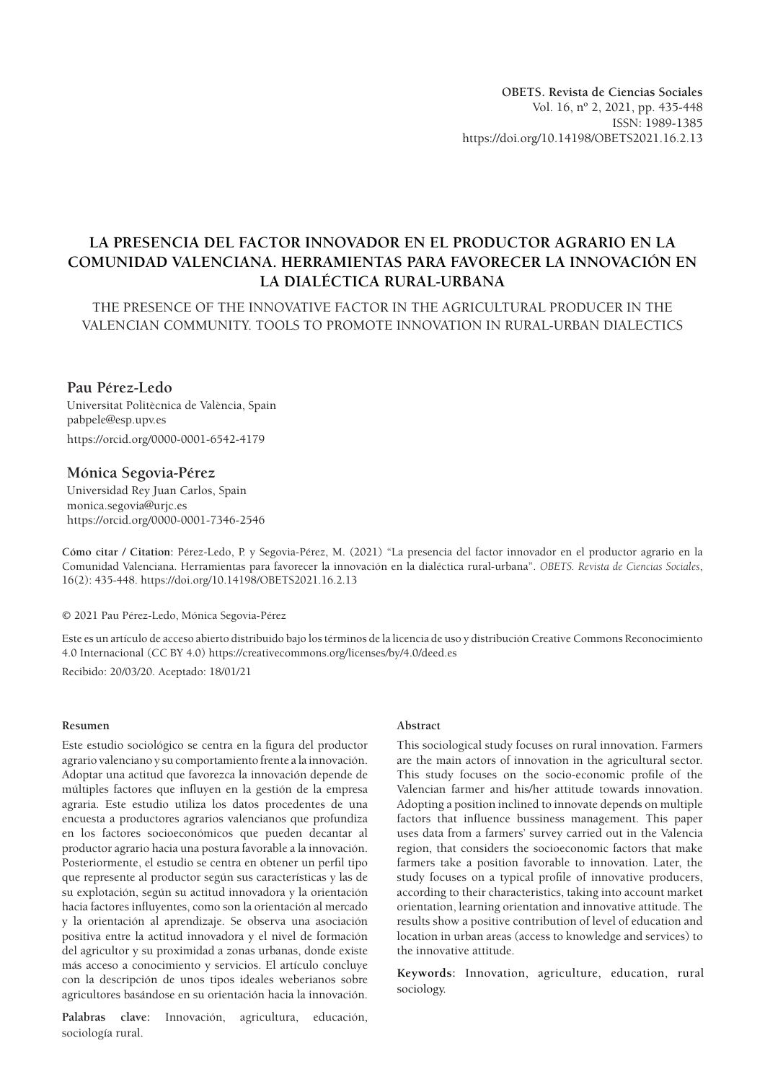# **LA PRESENCIA DEL FACTOR INNOVADOR EN EL PRODUCTOR AGRARIO EN LA COMUNIDAD VALENCIANA. HERRAMIENTAS PARA FAVORECER LA INNOVACIÓN EN LA DIALÉCTICA RURAL-URBANA**

THE PRESENCE OF THE INNOVATIVE FACTOR IN THE AGRICULTURAL PRODUCER IN THE VALENCIAN COMMUNITY. TOOLS TO PROMOTE INNOVATION IN RURAL-URBAN DIALECTICS

# **Pau Pérez-Ledo**

Universitat Politècnica de València, Spain pabpele@esp.upv.es https://orcid.org/0000-0001-6542-4179

# **Mónica Segovia-Pérez**

Universidad Rey Juan Carlos, Spain monica.segovia@urjc.es https://orcid.org/0000-0001-7346-2546

**Cómo citar / Citation:** Pérez-Ledo, P. y Segovia-Pérez, M. (2021) "La presencia del factor innovador en el productor agrario en la Comunidad Valenciana. Herramientas para favorecer la innovación en la dialéctica rural-urbana". *OBETS. Revista de Ciencias Sociales*, 16(2): 435-448. https://doi.org/10.14198/OBETS2021.16.2.13

© 2021 Pau Pérez-Ledo, Mónica Segovia-Pérez

Este es un artículo de acceso abierto distribuido bajo los términos de la licencia de uso y distribución Creative Commons Reconocimiento 4.0 Internacional (CC BY 4.0) https://creativecommons.org/licenses/by/4.0/deed.es

Recibido: 20/03/20. Aceptado: 18/01/21

#### **Resumen**

Este estudio sociológico se centra en la figura del productor agrario valenciano y su comportamiento frente a la innovación. Adoptar una actitud que favorezca la innovación depende de múltiples factores que influyen en la gestión de la empresa agraria. Este estudio utiliza los datos procedentes de una encuesta a productores agrarios valencianos que profundiza en los factores socioeconómicos que pueden decantar al productor agrario hacia una postura favorable a la innovación. Posteriormente, el estudio se centra en obtener un perfil tipo que represente al productor según sus características y las de su explotación, según su actitud innovadora y la orientación hacia factores influyentes, como son la orientación al mercado y la orientación al aprendizaje. Se observa una asociación positiva entre la actitud innovadora y el nivel de formación del agricultor y su proximidad a zonas urbanas, donde existe más acceso a conocimiento y servicios. El artículo concluye con la descripción de unos tipos ideales weberianos sobre agricultores basándose en su orientación hacia la innovación.

**Palabras clave:** Innovación, agricultura, educación, sociología rural.

#### **Abstract**

This sociological study focuses on rural innovation. Farmers are the main actors of innovation in the agricultural sector. This study focuses on the socio-economic profile of the Valencian farmer and his/her attitude towards innovation. Adopting a position inclined to innovate depends on multiple factors that influence bussiness management. This paper uses data from a farmers' survey carried out in the Valencia region, that considers the socioeconomic factors that make farmers take a position favorable to innovation. Later, the study focuses on a typical profile of innovative producers, according to their characteristics, taking into account market orientation, learning orientation and innovative attitude. The results show a positive contribution of level of education and location in urban areas (access to knowledge and services) to the innovative attitude.

**Keywords:** Innovation, agriculture, education, rural sociology.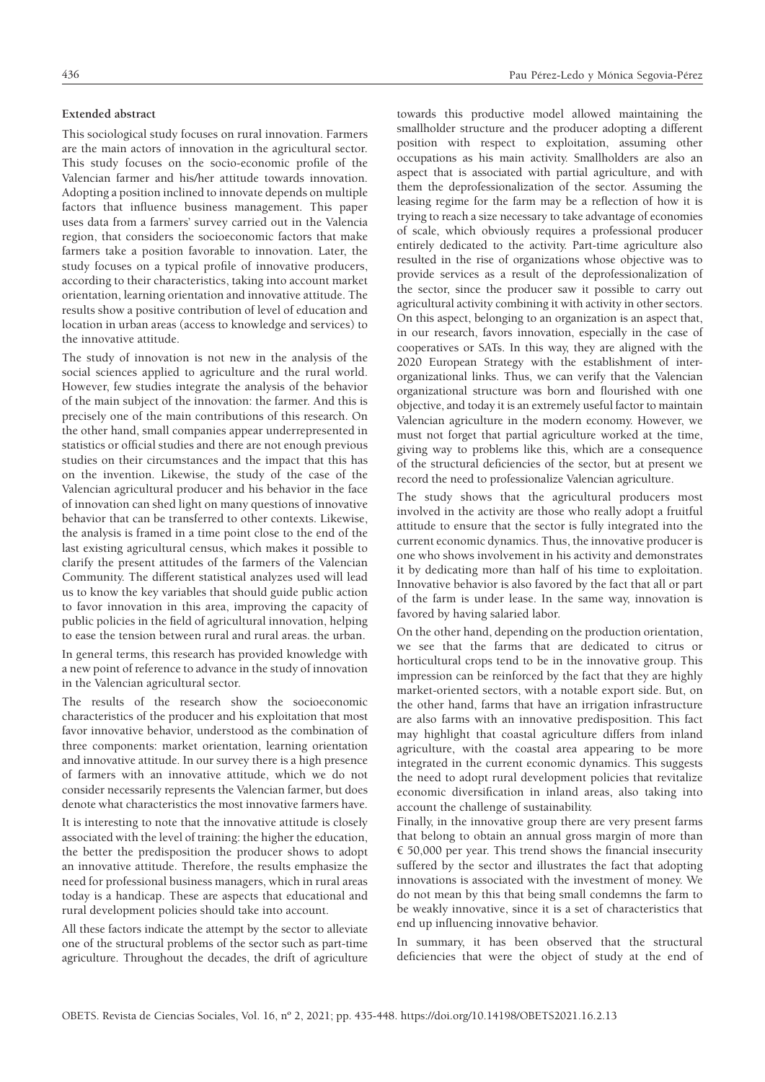#### **Extended abstract**

This sociological study focuses on rural innovation. Farmers are the main actors of innovation in the agricultural sector. This study focuses on the socio-economic profile of the Valencian farmer and his/her attitude towards innovation. Adopting a position inclined to innovate depends on multiple factors that influence business management. This paper uses data from a farmers' survey carried out in the Valencia region, that considers the socioeconomic factors that make farmers take a position favorable to innovation. Later, the study focuses on a typical profile of innovative producers, according to their characteristics, taking into account market orientation, learning orientation and innovative attitude. The results show a positive contribution of level of education and location in urban areas (access to knowledge and services) to the innovative attitude.

The study of innovation is not new in the analysis of the social sciences applied to agriculture and the rural world. However, few studies integrate the analysis of the behavior of the main subject of the innovation: the farmer. And this is precisely one of the main contributions of this research. On the other hand, small companies appear underrepresented in statistics or official studies and there are not enough previous studies on their circumstances and the impact that this has on the invention. Likewise, the study of the case of the Valencian agricultural producer and his behavior in the face of innovation can shed light on many questions of innovative behavior that can be transferred to other contexts. Likewise, the analysis is framed in a time point close to the end of the last existing agricultural census, which makes it possible to clarify the present attitudes of the farmers of the Valencian Community. The different statistical analyzes used will lead us to know the key variables that should guide public action to favor innovation in this area, improving the capacity of public policies in the field of agricultural innovation, helping to ease the tension between rural and rural areas. the urban.

In general terms, this research has provided knowledge with a new point of reference to advance in the study of innovation in the Valencian agricultural sector.

The results of the research show the socioeconomic characteristics of the producer and his exploitation that most favor innovative behavior, understood as the combination of three components: market orientation, learning orientation and innovative attitude. In our survey there is a high presence of farmers with an innovative attitude, which we do not consider necessarily represents the Valencian farmer, but does denote what characteristics the most innovative farmers have.

It is interesting to note that the innovative attitude is closely associated with the level of training: the higher the education, the better the predisposition the producer shows to adopt an innovative attitude. Therefore, the results emphasize the need for professional business managers, which in rural areas today is a handicap. These are aspects that educational and rural development policies should take into account.

All these factors indicate the attempt by the sector to alleviate one of the structural problems of the sector such as part-time agriculture. Throughout the decades, the drift of agriculture

towards this productive model allowed maintaining the smallholder structure and the producer adopting a different position with respect to exploitation, assuming other occupations as his main activity. Smallholders are also an aspect that is associated with partial agriculture, and with them the deprofessionalization of the sector. Assuming the leasing regime for the farm may be a reflection of how it is trying to reach a size necessary to take advantage of economies of scale, which obviously requires a professional producer entirely dedicated to the activity. Part-time agriculture also resulted in the rise of organizations whose objective was to provide services as a result of the deprofessionalization of the sector, since the producer saw it possible to carry out agricultural activity combining it with activity in other sectors. On this aspect, belonging to an organization is an aspect that, in our research, favors innovation, especially in the case of cooperatives or SATs. In this way, they are aligned with the 2020 European Strategy with the establishment of interorganizational links. Thus, we can verify that the Valencian organizational structure was born and flourished with one objective, and today it is an extremely useful factor to maintain Valencian agriculture in the modern economy. However, we must not forget that partial agriculture worked at the time, giving way to problems like this, which are a consequence of the structural deficiencies of the sector, but at present we record the need to professionalize Valencian agriculture.

The study shows that the agricultural producers most involved in the activity are those who really adopt a fruitful attitude to ensure that the sector is fully integrated into the current economic dynamics. Thus, the innovative producer is one who shows involvement in his activity and demonstrates it by dedicating more than half of his time to exploitation. Innovative behavior is also favored by the fact that all or part of the farm is under lease. In the same way, innovation is favored by having salaried labor.

On the other hand, depending on the production orientation, we see that the farms that are dedicated to citrus or horticultural crops tend to be in the innovative group. This impression can be reinforced by the fact that they are highly market-oriented sectors, with a notable export side. But, on the other hand, farms that have an irrigation infrastructure are also farms with an innovative predisposition. This fact may highlight that coastal agriculture differs from inland agriculture, with the coastal area appearing to be more integrated in the current economic dynamics. This suggests the need to adopt rural development policies that revitalize economic diversification in inland areas, also taking into account the challenge of sustainability.

Finally, in the innovative group there are very present farms that belong to obtain an annual gross margin of more than  $\epsilon$  50,000 per year. This trend shows the financial insecurity suffered by the sector and illustrates the fact that adopting innovations is associated with the investment of money. We do not mean by this that being small condemns the farm to be weakly innovative, since it is a set of characteristics that end up influencing innovative behavior.

In summary, it has been observed that the structural deficiencies that were the object of study at the end of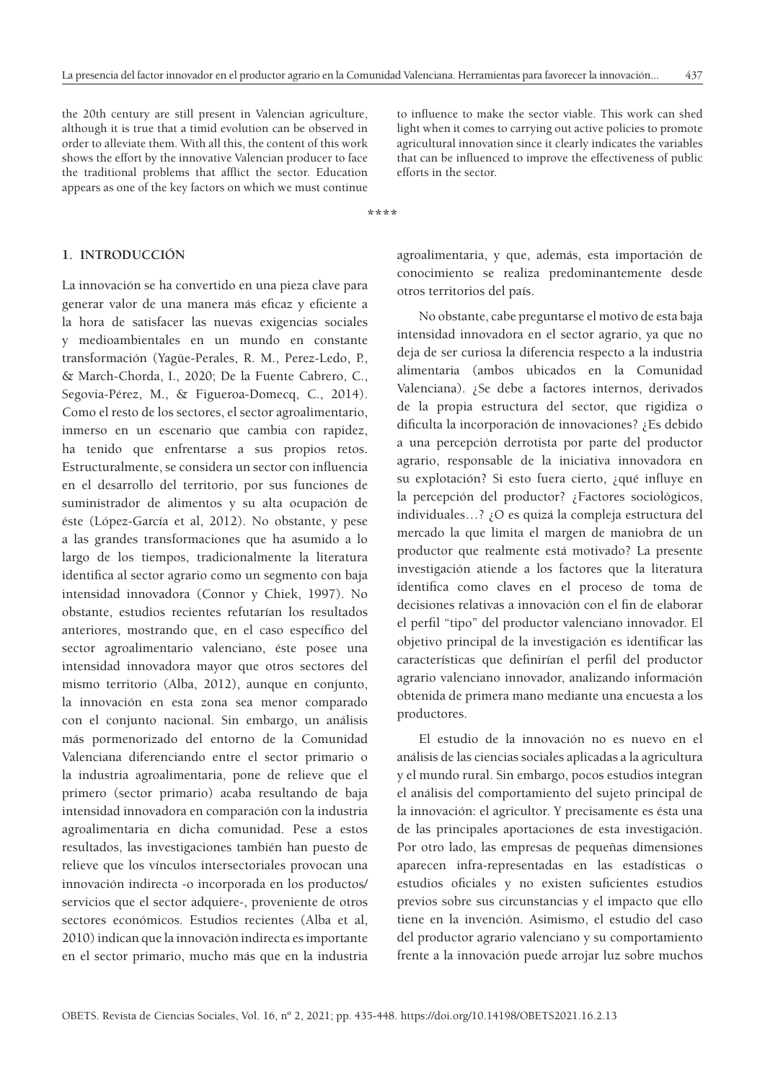the 20th century are still present in Valencian agriculture, although it is true that a timid evolution can be observed in order to alleviate them. With all this, the content of this work shows the effort by the innovative Valencian producer to face the traditional problems that afflict the sector. Education appears as one of the key factors on which we must continue

to influence to make the sector viable. This work can shed light when it comes to carrying out active policies to promote agricultural innovation since it clearly indicates the variables that can be influenced to improve the effectiveness of public efforts in the sector.

**\*\*\*\***

#### **1. INTRODUCCIÓN**

La innovación se ha convertido en una pieza clave para generar valor de una manera más eficaz y eficiente a la hora de satisfacer las nuevas exigencias sociales y medioambientales en un mundo en constante transformación (Yagüe-Perales, R. M., Perez-Ledo, P., & March-Chorda, I., 2020; De la Fuente Cabrero, C., Segovia-Pérez, M., & Figueroa-Domecq, C., 2014). Como el resto de los sectores, el sector agroalimentario, inmerso en un escenario que cambia con rapidez, ha tenido que enfrentarse a sus propios retos. Estructuralmente, se considera un sector con influencia en el desarrollo del territorio, por sus funciones de suministrador de alimentos y su alta ocupación de éste (López-García et al, 2012). No obstante, y pese a las grandes transformaciones que ha asumido a lo largo de los tiempos, tradicionalmente la literatura identifica al sector agrario como un segmento con baja intensidad innovadora (Connor y Chiek, 1997). No obstante, estudios recientes refutarían los resultados anteriores, mostrando que, en el caso específico del sector agroalimentario valenciano, éste posee una intensidad innovadora mayor que otros sectores del mismo territorio (Alba, 2012), aunque en conjunto, la innovación en esta zona sea menor comparado con el conjunto nacional. Sin embargo, un análisis más pormenorizado del entorno de la Comunidad Valenciana diferenciando entre el sector primario o la industria agroalimentaria, pone de relieve que el primero (sector primario) acaba resultando de baja intensidad innovadora en comparación con la industria agroalimentaria en dicha comunidad. Pese a estos resultados, las investigaciones también han puesto de relieve que los vínculos intersectoriales provocan una innovación indirecta -o incorporada en los productos/ servicios que el sector adquiere-, proveniente de otros sectores económicos. Estudios recientes (Alba et al, 2010) indican que la innovación indirecta es importante en el sector primario, mucho más que en la industria agroalimentaria, y que, además, esta importación de conocimiento se realiza predominantemente desde otros territorios del país.

No obstante, cabe preguntarse el motivo de esta baja intensidad innovadora en el sector agrario, ya que no deja de ser curiosa la diferencia respecto a la industria alimentaria (ambos ubicados en la Comunidad Valenciana). ¿Se debe a factores internos, derivados de la propia estructura del sector, que rigidiza o dificulta la incorporación de innovaciones? ¿Es debido a una percepción derrotista por parte del productor agrario, responsable de la iniciativa innovadora en su explotación? Si esto fuera cierto, ¿qué influye en la percepción del productor? ¿Factores sociológicos, individuales…? ¿O es quizá la compleja estructura del mercado la que limita el margen de maniobra de un productor que realmente está motivado? La presente investigación atiende a los factores que la literatura identifica como claves en el proceso de toma de decisiones relativas a innovación con el fin de elaborar el perfil "tipo" del productor valenciano innovador. El objetivo principal de la investigación es identificar las características que definirían el perfil del productor agrario valenciano innovador, analizando información obtenida de primera mano mediante una encuesta a los productores.

El estudio de la innovación no es nuevo en el análisis de las ciencias sociales aplicadas a la agricultura y el mundo rural. Sin embargo, pocos estudios integran el análisis del comportamiento del sujeto principal de la innovación: el agricultor. Y precisamente es ésta una de las principales aportaciones de esta investigación. Por otro lado, las empresas de pequeñas dimensiones aparecen infra-representadas en las estadísticas o estudios oficiales y no existen suficientes estudios previos sobre sus circunstancias y el impacto que ello tiene en la invención. Asimismo, el estudio del caso del productor agrario valenciano y su comportamiento frente a la innovación puede arrojar luz sobre muchos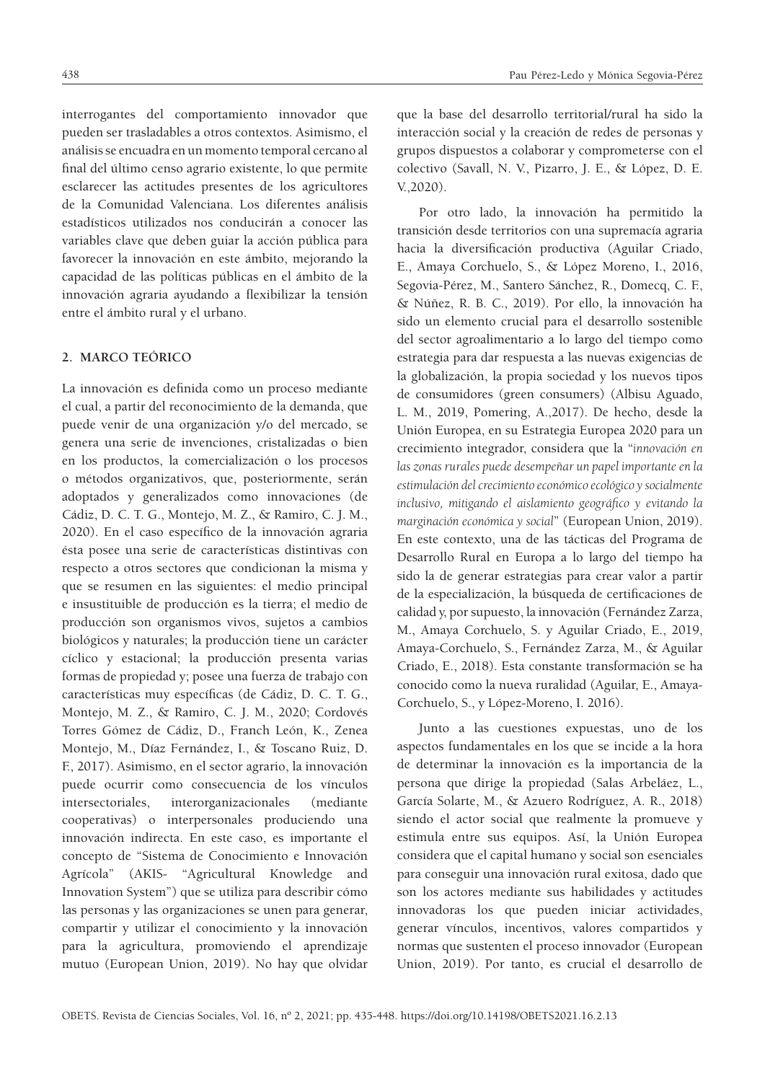interrogantes del comportamiento innovador que pueden ser trasladables a otros contextos. Asimismo, el análisis se encuadra en un momento temporal cercano al final del último censo agrario existente, lo que permite esclarecer las actitudes presentes de los agricultores de la Comunidad Valenciana. Los diferentes análisis estadísticos utilizados nos conducirán a conocer las variables clave que deben guiar la acción pública para favorecer la innovación en este ámbito, mejorando la capacidad de las políticas públicas en el ámbito de la innovación agraria ayudando a flexibilizar la tensión entre el ámbito rural y el urbano.

# **2. MARCO TEÓRICO**

La innovación es definida como un proceso mediante el cual, a partir del reconocimiento de la demanda, que puede venir de una organización y/o del mercado, se genera una serie de invenciones, cristalizadas o bien en los productos, la comercialización o los procesos o métodos organizativos, que, posteriormente, serán adoptados y generalizados como innovaciones (de Cádiz, D. C. T. G., Montejo, M. Z., & Ramiro, C. J. M., 2020). En el caso específico de la innovación agraria ésta posee una serie de características distintivas con respecto a otros sectores que condicionan la misma y que se resumen en las siguientes: el medio principal e insustituible de producción es la tierra; el medio de producción son organismos vivos, sujetos a cambios biológicos y naturales; la producción tiene un carácter cíclico y estacional; la producción presenta varias formas de propiedad y; posee una fuerza de trabajo con características muy específicas (de Cádiz, D. C. T. G., Montejo, M. Z., & Ramiro, C. J. M., 2020; Cordovés Torres Gómez de Cádiz, D., Franch León, K., Zenea Montejo, M., Díaz Fernández, I., & Toscano Ruiz, D. F., 2017). Asimismo, en el sector agrario, la innovación puede ocurrir como consecuencia de los vínculos intersectoriales, interorganizacionales (mediante cooperativas) o interpersonales produciendo una innovación indirecta. En este caso, es importante el concepto de "Sistema de Conocimiento e Innovación Agrícola" (AKIS- "Agricultural Knowledge and Innovation System") que se utiliza para describir cómo las personas y las organizaciones se unen para generar, compartir y utilizar el conocimiento y la innovación para la agricultura, promoviendo el aprendizaje mutuo (European Union, 2019). No hay que olvidar que la base del desarrollo territorial/rural ha sido la interacción social y la creación de redes de personas y grupos dispuestos a colaborar y comprometerse con el colectivo (Savall, N. V., Pizarro, J. E., & López, D. E. V.,2020).

Por otro lado, la innovación ha permitido la transición desde territorios con una supremacía agraria hacia la diversificación productiva (Aguilar Criado, E., Amaya Corchuelo, S., & López Moreno, I., 2016, Segovia-Pérez, M., Santero Sánchez, R., Domecq, C. F., & Núñez, R. B. C., 2019). Por ello, la innovación ha sido un elemento crucial para el desarrollo sostenible del sector agroalimentario a lo largo del tiempo como estrategia para dar respuesta a las nuevas exigencias de la globalización, la propia sociedad y los nuevos tipos de consumidores (green consumers) (Albisu Aguado, L. M., 2019, Pomering, A.,2017). De hecho, desde la Unión Europea, en su Estrategia Europea 2020 para un crecimiento integrador, considera que la "*innovación en las zonas rurales puede desempeñar un papel importante en la estimulación del crecimiento económico ecológico y socialmente inclusivo, mitigando el aislamiento geográfico y evitando la marginación económica y social*" (European Union, 2019). En este contexto, una de las tácticas del Programa de Desarrollo Rural en Europa a lo largo del tiempo ha sido la de generar estrategias para crear valor a partir de la especialización, la búsqueda de certificaciones de calidad y, por supuesto, la innovación (Fernández Zarza, M., Amaya Corchuelo, S. y Aguilar Criado, E., 2019, Amaya-Corchuelo, S., Fernández Zarza, M., & Aguilar Criado, E., 2018). Esta constante transformación se ha conocido como la nueva ruralidad (Aguilar, E., Amaya-Corchuelo, S., y López-Moreno, I. 2016).

Junto a las cuestiones expuestas, uno de los aspectos fundamentales en los que se incide a la hora de determinar la innovación es la importancia de la persona que dirige la propiedad (Salas Arbeláez, L., García Solarte, M., & Azuero Rodríguez, A. R., 2018) siendo el actor social que realmente la promueve y estimula entre sus equipos. Así, la Unión Europea considera que el capital humano y social son esenciales para conseguir una innovación rural exitosa, dado que son los actores mediante sus habilidades y actitudes innovadoras los que pueden iniciar actividades, generar vínculos, incentivos, valores compartidos y normas que sustenten el proceso innovador (European Union, 2019). Por tanto, es crucial el desarrollo de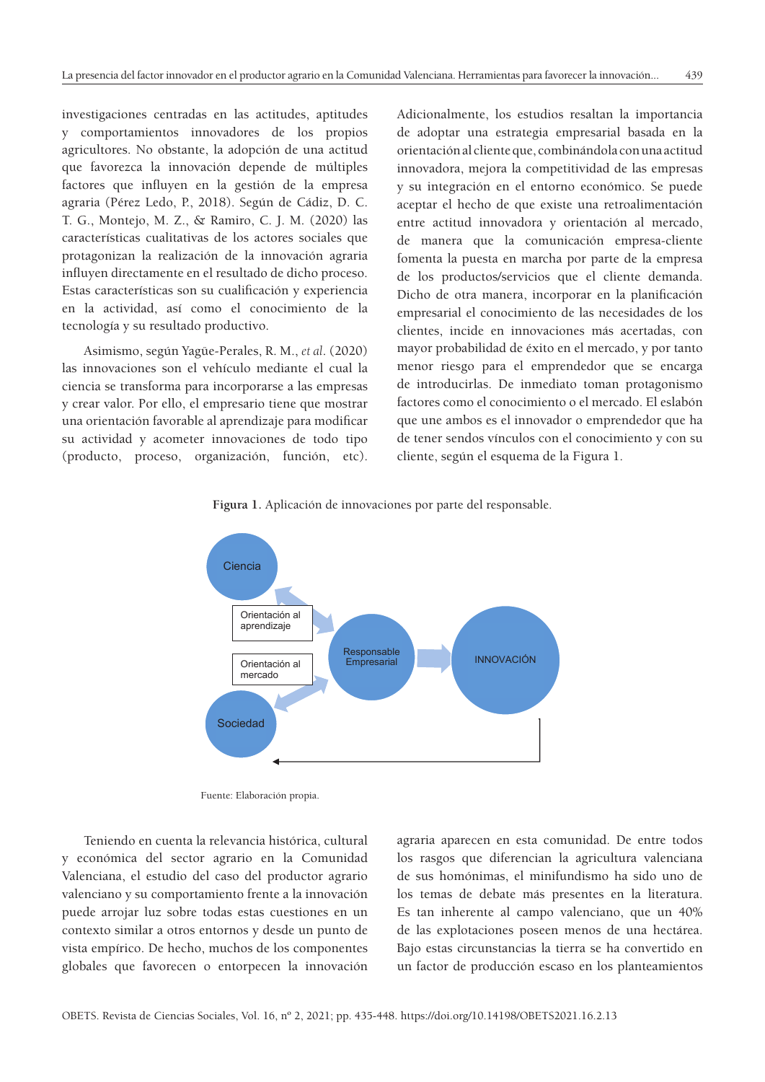investigaciones centradas en las actitudes, aptitudes y comportamientos innovadores de los propios agricultores. No obstante, la adopción de una actitud que favorezca la innovación depende de múltiples factores que influyen en la gestión de la empresa agraria (Pérez Ledo, P., 2018). Según de Cádiz, D. C. T. G., Montejo, M. Z., & Ramiro, C. J. M. (2020) las caracterí sticas cualitativas de los actores sociales que protagonizan la realización de la innovación agraria influyen directamente en el resultado de dicho proceso. Estas características son su cualificación y experiencia en la actividad, así como el conocimiento de la tecnología y su resultado productivo.

Asimismo, según Yagüe-Perales, R. M., *et al*. (2020) las innovaciones son el vehículo mediante el cual la ciencia se transforma para incorporarse a las empresas y crear valor. Por ello, el empresario tiene que mostrar una orientación favorable al aprendizaje para modificar su actividad y acometer innovaciones de todo tipo (producto, proceso, organización, función, etc). Adicionalmente, los estudios resaltan la importancia de adoptar una estrategia empresarial basada en la orientación al cliente que, combinándola con una actitud innovadora, mejora la competitividad de las empresas y su integración en el entorno económico. Se puede aceptar el hecho de que existe una retroalimentación entre actitud innovadora y orientación al mercado, de manera que la comunicación empresa-cliente fomenta la puesta en marcha por parte de la empresa de los productos/servicios que el cliente demanda. Dicho de otra manera, incorporar en la planificación empresarial el conocimiento de las necesidades de los clientes, incide en innovaciones más acertadas, con mayor probabilidad de éxito en el mercado, y por tanto menor riesgo para el emprendedor que se encarga de introducirlas. De inmediato toman protagonismo factores como el conocimiento o el mercado. El eslabón que une ambos es el innovador o emprendedor que ha de tener sendos vínculos con el conocimiento y con su cliente, según el esquema de la Figura 1.





Fuente: Elaboración propia.

Teniendo en cuenta la relevancia histórica, cultural y económica del sector agrario en la Comunidad Valenciana, el estudio del caso del productor agrario valenciano y su comportamiento frente a la innovación puede arrojar luz sobre todas estas cuestiones en un contexto similar a otros entornos y desde un punto de vista empírico. De hecho, muchos de los componentes globales que favorecen o entorpecen la innovación

agraria aparecen en esta comunidad. De entre todos los rasgos que diferencian la agricultura valenciana de sus homónimas, el minifundismo ha sido uno de los temas de debate más presentes en la literatura. Es tan inherente al campo valenciano, que un 40% de las explotaciones poseen menos de una hectárea. Bajo estas circunstancias la tierra se ha convertido en un factor de producción escaso en los planteamientos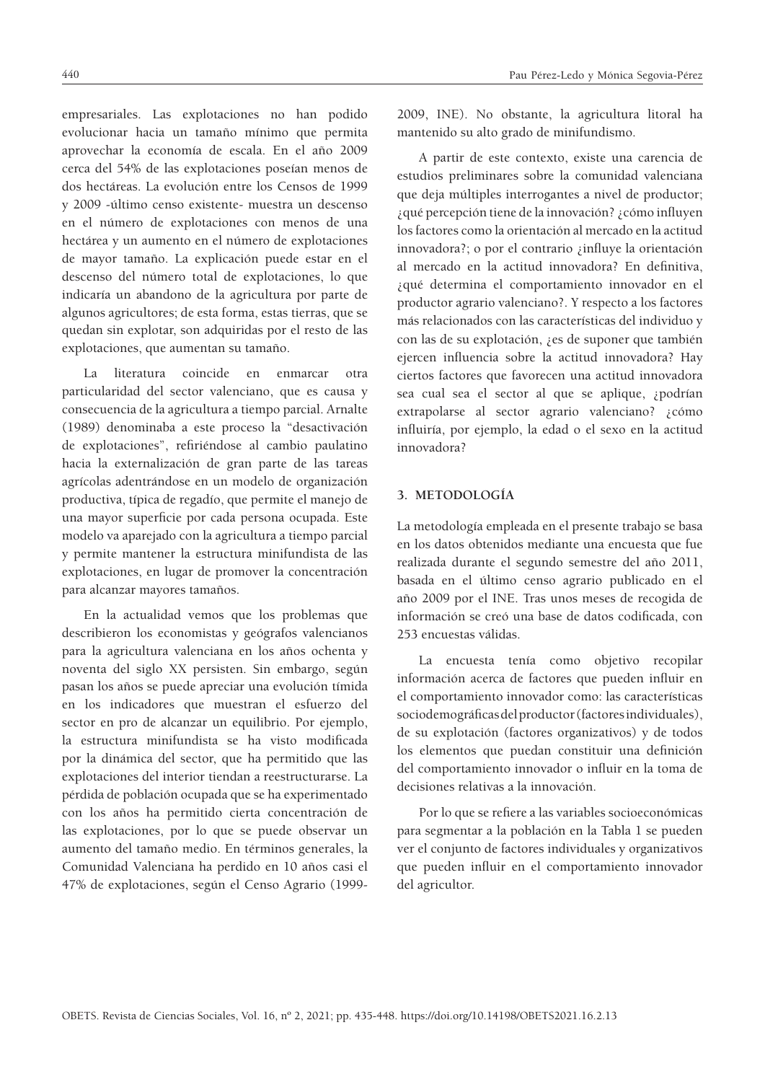empresariales. Las explotaciones no han podido evolucionar hacia un tamaño mínimo que permita aprovechar la economía de escala. En el año 2009 cerca del 54% de las explotaciones poseían menos de dos hectáreas. La evolución entre los Censos de 1999 y 2009 -último censo existente- muestra un descenso en el número de explotaciones con menos de una hectárea y un aumento en el número de explotaciones de mayor tamaño. La explicación puede estar en el descenso del número total de explotaciones, lo que indicaría un abandono de la agricultura por parte de algunos agricultores; de esta forma, estas tierras, que se quedan sin explotar, son adquiridas por el resto de las explotaciones, que aumentan su tamaño.

La literatura coincide en enmarcar otra particularidad del sector valenciano, que es causa y consecuencia de la agricultura a tiempo parcial. Arnalte (1989) denominaba a este proceso la "desactivación de explotaciones", refiriéndose al cambio paulatino hacia la externalización de gran parte de las tareas agrícolas adentrándose en un modelo de organización productiva, típica de regadío, que permite el manejo de una mayor superficie por cada persona ocupada. Este modelo va aparejado con la agricultura a tiempo parcial y permite mantener la estructura minifundista de las explotaciones, en lugar de promover la concentración para alcanzar mayores tamaños.

En la actualidad vemos que los problemas que describieron los economistas y geógrafos valencianos para la agricultura valenciana en los años ochenta y noventa del siglo XX persisten. Sin embargo, según pasan los años se puede apreciar una evolución tímida en los indicadores que muestran el esfuerzo del sector en pro de alcanzar un equilibrio. Por ejemplo, la estructura minifundista se ha visto modificada por la dinámica del sector, que ha permitido que las explotaciones del interior tiendan a reestructurarse. La pérdida de población ocupada que se ha experimentado con los años ha permitido cierta concentración de las explotaciones, por lo que se puede observar un aumento del tamaño medio. En términos generales, la Comunidad Valenciana ha perdido en 10 años casi el 47% de explotaciones, según el Censo Agrario (1999-

440 Pau Pérez-Ledo y Mónica Segovia-Pérez

2009, INE). No obstante, la agricultura litoral ha mantenido su alto grado de minifundismo.

A partir de este contexto, existe una carencia de estudios preliminares sobre la comunidad valenciana que deja múltiples interrogantes a nivel de productor; ¿qué percepción tiene de la innovación? ¿cómo influyen los factores como la orientación al mercado en la actitud innovadora?; o por el contrario ¿influye la orientación al mercado en la actitud innovadora? En definitiva, ¿qué determina el comportamiento innovador en el productor agrario valenciano?. Y respecto a los factores más relacionados con las características del individuo y con las de su explotación, ¿es de suponer que también ejercen influencia sobre la actitud innovadora? Hay ciertos factores que favorecen una actitud innovadora sea cual sea el sector al que se aplique, ¿podrían extrapolarse al sector agrario valenciano? ¿cómo influiría, por ejemplo, la edad o el sexo en la actitud innovadora?

## **3. METODOLOGÍA**

La metodología empleada en el presente trabajo se basa en los datos obtenidos mediante una encuesta que fue realizada durante el segundo semestre del año 2011, basada en el último censo agrario publicado en el año 2009 por el INE. Tras unos meses de recogida de información se creó una base de datos codificada, con 253 encuestas válidas.

La encuesta tenía como objetivo recopilar información acerca de factores que pueden influir en el comportamiento innovador como: las características sociodemográficas del productor (factores individuales), de su explotación (factores organizativos) y de todos los elementos que puedan constituir una definición del comportamiento innovador o influir en la toma de decisiones relativas a la innovación.

Por lo que se refiere a las variables socioeconómicas para segmentar a la población en la Tabla 1 se pueden ver el conjunto de factores individuales y organizativos que pueden influir en el comportamiento innovador del agricultor.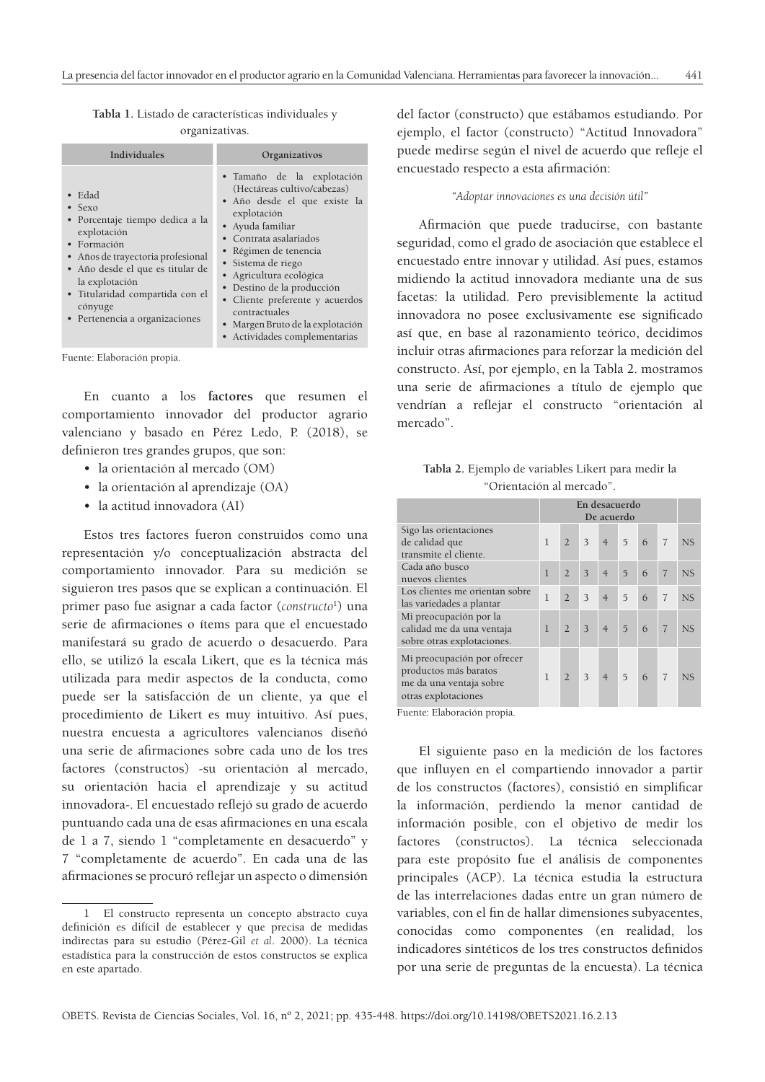**Tabla 1.** Listado de características individuales y organizativas.

| Individuales                                                                                                                                                                                                                                                                  | Organizativos                                                                                                                                                                                                                                                                                                                                                                           |
|-------------------------------------------------------------------------------------------------------------------------------------------------------------------------------------------------------------------------------------------------------------------------------|-----------------------------------------------------------------------------------------------------------------------------------------------------------------------------------------------------------------------------------------------------------------------------------------------------------------------------------------------------------------------------------------|
| Edad<br>$\bullet$ Sexo<br>• Porcentaje tiempo dedica a la<br>explotación<br>• Formación<br>Años de trayectoria profesional<br>$\bullet$<br>• Año desde el que es titular de<br>la explotación<br>• Titularidad compartida con el<br>cónyuge<br>• Pertenencia a organizaciones | • Tamaño de la explotación<br>(Hectáreas cultivo/cabezas)<br>• Año desde el que existe la<br>explotación<br>• Ayuda familiar<br>• Contrata asalariados<br>• Régimen de tenencia<br>• Sistema de riego<br>• Agricultura ecológica<br>• Destino de la producción<br>• Cliente preferente y acuerdos<br>contractuales<br>· Margen Bruto de la explotación<br>• Actividades complementarias |

Fuente: Elaboración propia.

En cuanto a los **factores** que resumen el comportamiento innovador del productor agrario valenciano y basado en Pérez Ledo, P. (2018), se definieron tres grandes grupos, que son:

- la orientación al mercado (OM)
- la orientación al aprendizaje (OA)
- la actitud innovadora (AI)

Estos tres factores fueron construidos como una representación y/o conceptualización abstracta del comportamiento innovador. Para su medición se siguieron tres pasos que se explican a continuación. El primer paso fue asignar a cada factor (*constructo*<sup>1</sup> ) una serie de afirmaciones o ítems para que el encuestado manifestará su grado de acuerdo o desacuerdo. Para ello, se utilizó la escala Likert, que es la técnica más utilizada para medir aspectos de la conducta, como puede ser la satisfacción de un cliente, ya que el procedimiento de Likert es muy intuitivo. Así pues, nuestra encuesta a agricultores valencianos diseñó una serie de afirmaciones sobre cada uno de los tres factores (constructos) -su orientación al mercado, su orientación hacia el aprendizaje y su actitud innovadora-. El encuestado reflejó su grado de acuerdo puntuando cada una de esas afirmaciones en una escala de 1 a 7, siendo 1 "completamente en desacuerdo" y 7 "completamente de acuerdo". En cada una de las afirmaciones se procuró reflejar un aspecto o dimensión

del factor (constructo) que estábamos estudiando. Por ejemplo, el factor (constructo) "Actitud Innovadora" puede medirse según el nivel de acuerdo que refleje el encuestado respecto a esta afirmación:

#### *"Adoptar innovaciones es una decisión útil"*

Afirmación que puede traducirse, con bastante seguridad, como el grado de asociación que establece el encuestado entre innovar y utilidad. Así pues, estamos midiendo la actitud innovadora mediante una de sus facetas: la utilidad. Pero previsiblemente la actitud innovadora no posee exclusivamente ese significado así que, en base al razonamiento teórico, decidimos incluir otras afirmaciones para reforzar la medición del constructo. Así, por ejemplo, en la Tabla 2. mostramos una serie de afirmaciones a título de ejemplo que vendrían a reflejar el constructo "orientación al mercado".

|  | Tabla 2. Ejemplo de variables Likert para medir la |  |  |
|--|----------------------------------------------------|--|--|
|  | "Orientación al mercado".                          |  |  |

|                                                                                                        | En desacuerdo<br>De acuerdo |                |   |                |                |   |                |                |
|--------------------------------------------------------------------------------------------------------|-----------------------------|----------------|---|----------------|----------------|---|----------------|----------------|
|                                                                                                        |                             |                |   |                |                |   |                |                |
| Sigo las orientaciones<br>de calidad que<br>transmite el cliente.                                      | $\mathbf{I}$                | $\overline{2}$ | 3 | $\overline{4}$ | $\overline{5}$ | 6 | $\overline{7}$ | <b>NS</b>      |
| Cada año busco<br>nuevos clientes                                                                      | $\mathbf{I}$                | $\overline{2}$ | 3 | $\overline{4}$ | $\overline{5}$ | 6 | $\overline{7}$ | <b>NS</b>      |
| Los clientes me orientan sobre<br>las variedades a plantar                                             | $\mathbf{I}$                | $\overline{2}$ | 3 | $\overline{4}$ | $\overline{5}$ | 6 | $\overline{7}$ | <b>NS</b>      |
| Mi preocupación por la<br>calidad me da una ventaja<br>sobre otras explotaciones.                      | $\mathbf{I}$                | $\overline{2}$ | 3 | $\overline{4}$ | $\overline{5}$ | 6 | $\overline{7}$ | <b>NS</b>      |
| Mi preocupación por ofrecer<br>productos más baratos<br>me da una ventaja sobre<br>otras explotaciones | $\mathbf{I}$                | $\overline{2}$ | 3 | $\overline{4}$ | $\overline{5}$ | 6 |                | N <sub>S</sub> |

Fuente: Elaboración propia.

El siguiente paso en la medición de los factores que influyen en el compartiendo innovador a partir de los constructos (factores), consistió en simplificar la información, perdiendo la menor cantidad de información posible, con el objetivo de medir los factores (constructos). La técnica seleccionada para este propósito fue el análisis de componentes principales (ACP). La técnica estudia la estructura de las interrelaciones dadas entre un gran número de variables, con el fin de hallar dimensiones subyacentes, conocidas como componentes (en realidad, los indicadores sintéticos de los tres constructos definidos por una serie de preguntas de la encuesta). La técnica

<sup>1</sup> El constructo representa un concepto abstracto cuya definición es difícil de establecer y que precisa de medidas indirectas para su estudio (Pérez-Gil *et al*. 2000). La técnica estadística para la construcción de estos constructos se explica en este apartado.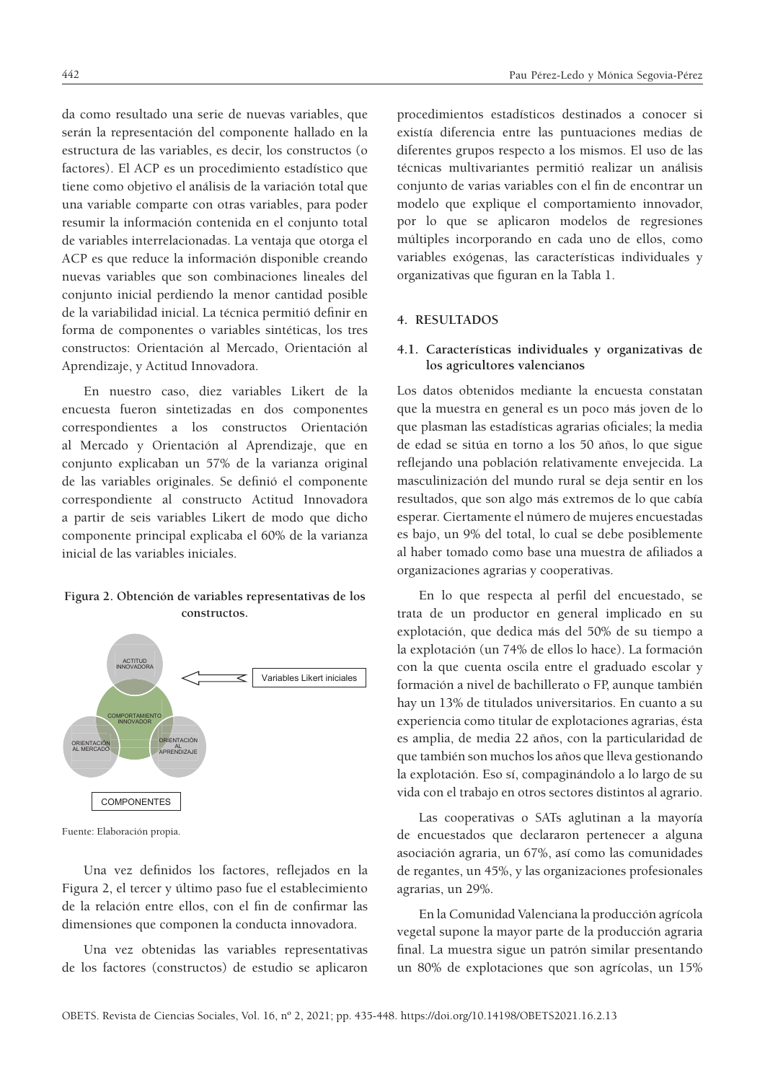da como resultado una serie de nuevas variables, que serán la representación del componente hallado en la estructura de las variables, es decir, los constructos (o factores). El ACP es un procedimiento estadístico que tiene como objetivo el análisis de la variación total que una variable comparte con otras variables, para poder resumir la información contenida en el conjunto total de variables interrelacionadas. La ventaja que otorga el ACP es que reduce la información disponible creando nuevas variables que son combinaciones lineales del conjunto inicial perdiendo la menor cantidad posible de la variabilidad inicial. La técnica permitió definir en forma de componentes o variables sintéticas, los tres constructos: Orientación al Mercado, Orientación al Aprendizaje, y Actitud Innovadora.

En nuestro caso, diez variables Likert de la encuesta fueron sintetizadas en dos componentes correspondientes a los constructos Orientación al Mercado y Orientación al Aprendizaje, que en conjunto explicaban un 57% de la varianza original de las variables originales. Se definió el componente correspondiente al constructo Actitud Innovadora a partir de seis variables Likert de modo que dicho componente principal explicaba el 60% de la varianza inicial de las variables iniciales.

# **Figura 2. Obtención de variables representativas de los constructos.**



Fuente: Elaboración propia.

Una vez definidos los factores, reflejados en la Figura 2, el tercer y último paso fue el establecimiento de la relación entre ellos, con el fin de confirmar las dimensiones que componen la conducta innovadora.

Una vez obtenidas las variables representativas de los factores (constructos) de estudio se aplicaron

procedimientos estadísticos destinados a conocer si existía diferencia entre las puntuaciones medias de diferentes grupos respecto a los mismos. El uso de las técnicas multivariantes permitió realizar un análisis conjunto de varias variables con el fin de encontrar un modelo que explique el comportamiento innovador, por lo que se aplicaron modelos de regresiones múltiples incorporando en cada uno de ellos, como variables exógenas, las características individuales y organizativas que figuran en la Tabla 1.

#### **4. RESULTADOS**

## **4.1. Características individuales y organizativas de los agricultores valencianos**

Los datos obtenidos mediante la encuesta constatan que la muestra en general es un poco más joven de lo que plasman las estadísticas agrarias oficiales; la media de edad se sitúa en torno a los 50 años, lo que sigue reflejando una población relativamente envejecida. La masculinización del mundo rural se deja sentir en los resultados, que son algo más extremos de lo que cabía esperar. Ciertamente el número de mujeres encuestadas es bajo, un 9% del total, lo cual se debe posiblemente al haber tomado como base una muestra de afiliados a organizaciones agrarias y cooperativas.

En lo que respecta al perfil del encuestado, se trata de un productor en general implicado en su explotación, que dedica más del 50% de su tiempo a la explotación (un 74% de ellos lo hace). La formación con la que cuenta oscila entre el graduado escolar y formación a nivel de bachillerato o FP, aunque también hay un 13% de titulados universitarios. En cuanto a su experiencia como titular de explotaciones agrarias, ésta es amplia, de media 22 años, con la particularidad de que también son muchos los años que lleva gestionando la explotación. Eso sí, compaginándolo a lo largo de su vida con el trabajo en otros sectores distintos al agrario.

Las cooperativas o SATs aglutinan a la mayoría de encuestados que declararon pertenecer a alguna asociación agraria, un 67%, así como las comunidades de regantes, un 45%, y las organizaciones profesionales agrarias, un 29%.

En la Comunidad Valenciana la producción agrícola vegetal supone la mayor parte de la producción agraria final. La muestra sigue un patrón similar presentando un 80% de explotaciones que son agrícolas, un 15%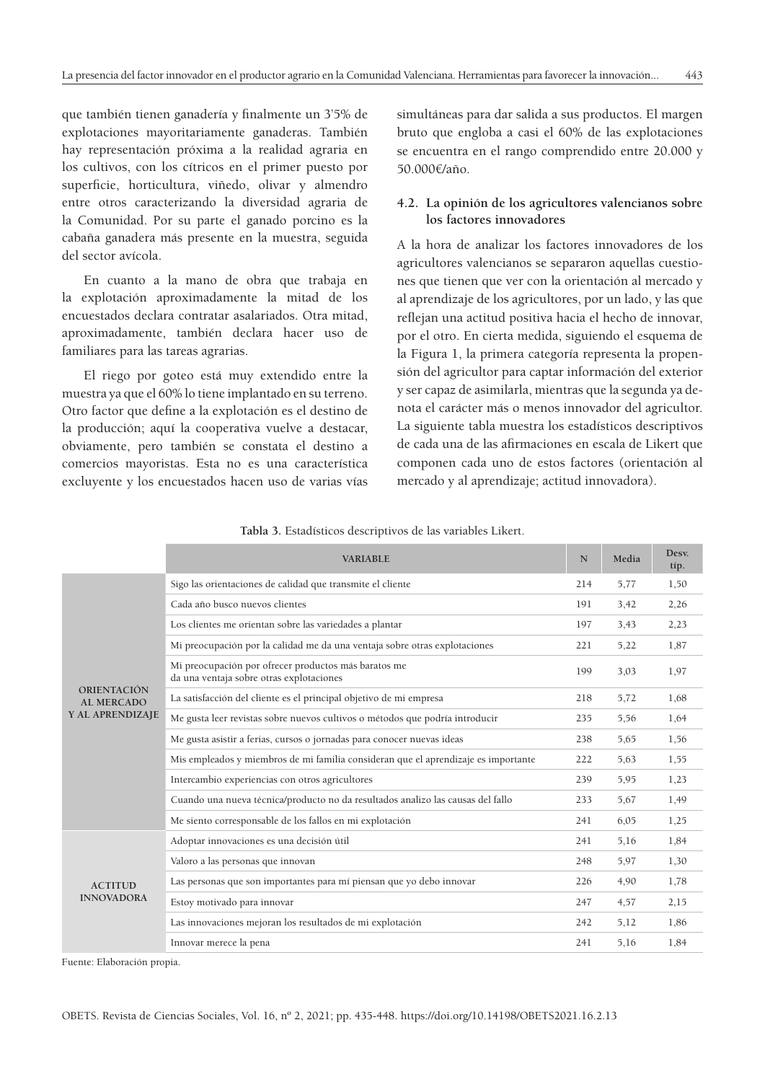que también tienen ganadería y finalmente un 3'5% de explotaciones mayoritariamente ganaderas. También hay representación próxima a la realidad agraria en los cultivos, con los cítricos en el primer puesto por superficie, horticultura, viñedo, olivar y almendro entre otros caracterizando la diversidad agraria de la Comunidad. Por su parte el ganado porcino es la cabaña ganadera más presente en la muestra, seguida del sector avícola.

En cuanto a la mano de obra que trabaja en la explotación aproximadamente la mitad de los encuestados declara contratar asalariados. Otra mitad, aproximadamente, también declara hacer uso de familiares para las tareas agrarias.

El riego por goteo está muy extendido entre la muestra ya que el 60% lo tiene implantado en su terreno. Otro factor que define a la explotación es el destino de la producción; aquí la cooperativa vuelve a destacar, obviamente, pero también se constata el destino a comercios mayoristas. Esta no es una característica excluyente y los encuestados hacen uso de varias vías simultáneas para dar salida a sus productos. El margen bruto que engloba a casi el 60% de las explotaciones se encuentra en el rango comprendido entre 20.000 y 50.000€/año.

## **4.2. La opinión de los agricultores valencianos sobre los factores innovadores**

A la hora de analizar los factores innovadores de los agricultores valencianos se separaron aquellas cuestiones que tienen que ver con la orientación al mercado y al aprendizaje de los agricultores, por un lado, y las que reflejan una actitud positiva hacia el hecho de innovar, por el otro. En cierta medida, siguiendo el esquema de la Figura 1, la primera categoría representa la propensión del agricultor para captar información del exterior y ser capaz de asimilarla, mientras que la segunda ya denota el carácter más o menos innovador del agricultor. La siguiente tabla muestra los estadísticos descriptivos de cada una de las afirmaciones en escala de Likert que componen cada uno de estos factores (orientación al mercado y al aprendizaje; actitud innovadora).

|                                     | <b>VARIABLE</b>                                                                                  | N   | Media | Desv.<br>típ. |
|-------------------------------------|--------------------------------------------------------------------------------------------------|-----|-------|---------------|
| ORIENTACIÓN<br><b>AL MERCADO</b>    | Sigo las orientaciones de calidad que transmite el cliente                                       | 214 | 5,77  | 1,50          |
|                                     | Cada año busco nuevos clientes                                                                   | 191 | 3,42  | 2,26          |
|                                     | Los clientes me orientan sobre las variedades a plantar                                          | 197 | 3,43  | 2,23          |
|                                     | Mi preocupación por la calidad me da una ventaja sobre otras explotaciones                       | 221 | 5,22  | 1,87          |
|                                     | Mi preocupación por ofrecer productos más baratos me<br>da una ventaja sobre otras explotaciones | 199 | 3,03  | 1,97          |
|                                     | La satisfacción del cliente es el principal objetivo de mi empresa                               | 218 | 5,72  | 1,68          |
| Y AL APRENDIZAJE                    | Me gusta leer revistas sobre nuevos cultivos o métodos que podría introducir                     |     | 5,56  | 1,64          |
|                                     | Me gusta asistir a ferias, cursos o jornadas para conocer nuevas ideas                           | 238 | 5,65  | 1,56          |
|                                     | Mis empleados y miembros de mi familia consideran que el aprendizaje es importante               | 222 | 5,63  | 1,55          |
|                                     | Intercambio experiencias con otros agricultores                                                  | 239 | 5,95  | 1,23          |
|                                     | Cuando una nueva técnica/producto no da resultados analizo las causas del fallo                  | 233 | 5,67  | 1,49          |
|                                     | Me siento corresponsable de los fallos en mi explotación                                         | 241 | 6,05  | 1,25          |
|                                     | Adoptar innovaciones es una decisión útil                                                        | 241 | 5,16  | 1,84          |
| <b>ACTITUD</b><br><b>INNOVADORA</b> | Valoro a las personas que innovan                                                                | 248 | 5,97  | 1,30          |
|                                     | Las personas que son importantes para mí piensan que yo debo innovar                             | 226 | 4,90  | 1,78          |
|                                     | Estoy motivado para innovar                                                                      | 247 | 4,57  | 2,15          |
|                                     | Las innovaciones mejoran los resultados de mi explotación                                        | 242 | 5,12  | 1,86          |
|                                     | Innovar merece la pena                                                                           | 241 | 5,16  | 1,84          |

Fuente: Elaboración propia.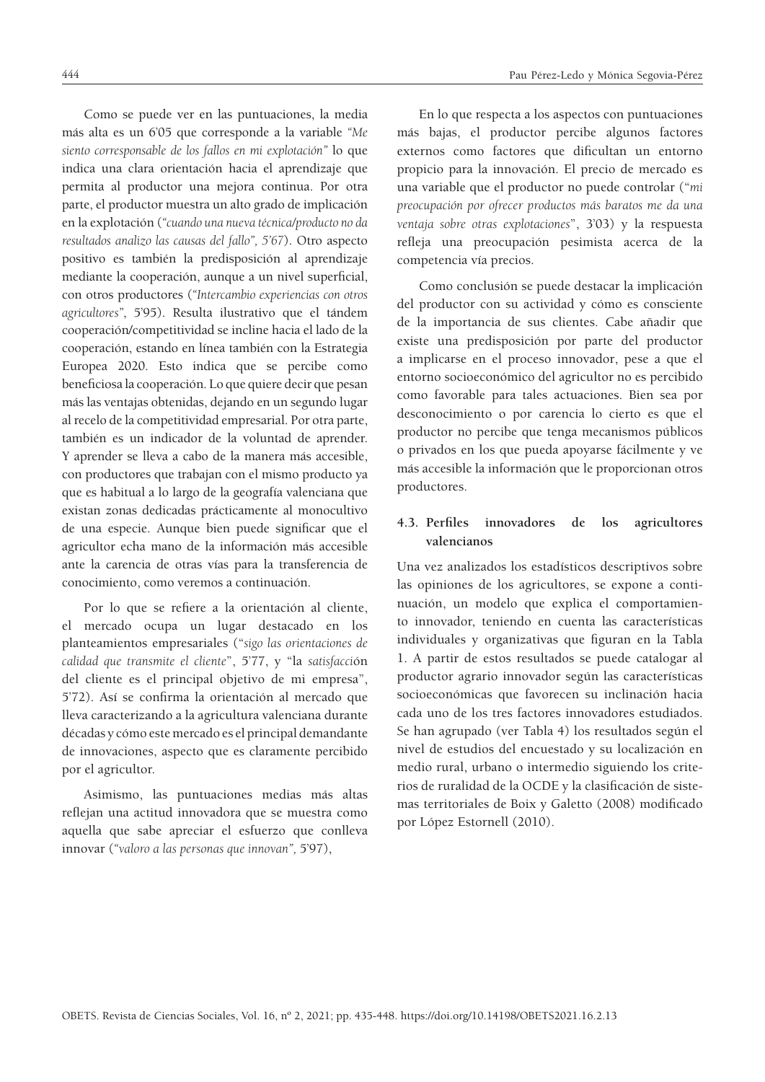Como se puede ver en las puntuaciones, la media más alta es un 6'05 que corresponde a la variable *"Me siento corresponsable de los fallos en mi explotación"* lo que indica una clara orientación hacia el aprendizaje que permita al productor una mejora continua. Por otra parte, el productor muestra un alto grado de implicación en la explotación (*"cuando una nueva técnica/producto no da resultados analizo las causas del fallo", 5'67*). Otro aspecto positivo es también la predisposición al aprendizaje mediante la cooperación, aunque a un nivel superficial, con otros productores (*"Intercambio experiencias con otros agricultores"*, 5'95). Resulta ilustrativo que el tándem cooperación/competitividad se incline hacia el lado de la cooperación, estando en línea también con la Estrategia Europea 2020. Esto indica que se percibe como beneficiosa la cooperación. Lo que quiere decir que pesan más las ventajas obtenidas, dejando en un segundo lugar al recelo de la competitividad empresarial. Por otra parte, también es un indicador de la voluntad de aprender. Y aprender se lleva a cabo de la manera más accesible, con productores que trabajan con el mismo producto ya que es habitual a lo largo de la geografía valenciana que existan zonas dedicadas prácticamente al monocultivo de una especie. Aunque bien puede significar que el agricultor echa mano de la información más accesible ante la carencia de otras vías para la transferencia de conocimiento, como veremos a continuación.

Por lo que se refiere a la orientación al cliente, el mercado ocupa un lugar destacado en los planteamientos empresariales ("*sigo las orientaciones de calidad que transmite el cliente*", 5'77, y "la *satisfacci*ón del cliente es el principal objetivo de mi empresa", 5'72). Así se confirma la orientación al mercado que lleva caracterizando a la agricultura valenciana durante décadas y cómo este mercado es el principal demandante de innovaciones, aspecto que es claramente percibido por el agricultor.

Asimismo, las puntuaciones medias más altas reflejan una actitud innovadora que se muestra como aquella que sabe apreciar el esfuerzo que conlleva innovar (*"valoro a las personas que innovan",* 5'97),

En lo que respecta a los aspectos con puntuaciones más bajas, el productor percibe algunos factores externos como factores que dificultan un entorno propicio para la innovación. El precio de mercado es una variable que el productor no puede controlar ("*mi preocupación por ofrecer productos más baratos me da una ventaja sobre otras explotaciones*", 3'03) y la respuesta refleja una preocupación pesimista acerca de la competencia vía precios.

Como conclusión se puede destacar la implicación del productor con su actividad y cómo es consciente de la importancia de sus clientes. Cabe añadir que existe una predisposición por parte del productor a implicarse en el proceso innovador, pese a que el entorno socioeconómico del agricultor no es percibido como favorable para tales actuaciones. Bien sea por desconocimiento o por carencia lo cierto es que el productor no percibe que tenga mecanismos públicos o privados en los que pueda apoyarse fácilmente y ve más accesible la información que le proporcionan otros productores.

# **4.3. Perfiles innovadores de los agricultores valencianos**

Una vez analizados los estadísticos descriptivos sobre las opiniones de los agricultores, se expone a continuación, un modelo que explica el comportamiento innovador, teniendo en cuenta las características individuales y organizativas que figuran en la Tabla 1. A partir de estos resultados se puede catalogar al productor agrario innovador según las características socioeconómicas que favorecen su inclinación hacia cada uno de los tres factores innovadores estudiados. Se han agrupado (ver Tabla 4) los resultados según el nivel de estudios del encuestado y su localización en medio rural, urbano o intermedio siguiendo los criterios de ruralidad de la OCDE y la clasificación de sistemas territoriales de Boix y Galetto (2008) modificado por López Estornell (2010).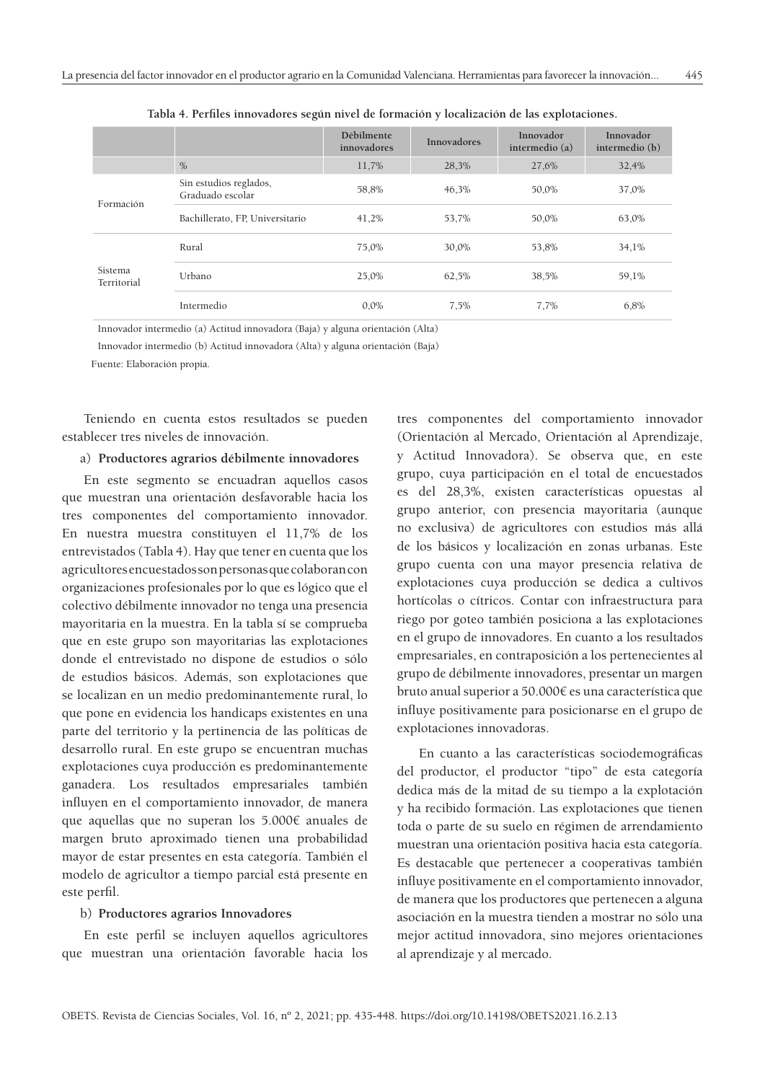|                        |                                            | Débilmente<br>innovadores | <b>Innovadores</b> | Innovador<br>intermedio (a) | Innovador<br>intermedio (b) |
|------------------------|--------------------------------------------|---------------------------|--------------------|-----------------------------|-----------------------------|
|                        | $\%$                                       | 11,7%                     | 28,3%              | 27,6%                       | 32,4%                       |
| Formación              | Sin estudios reglados,<br>Graduado escolar | 58,8%                     | 46,3%              | 50,0%                       | 37,0%                       |
|                        | Bachillerato, FP, Universitario            | 41,2%                     | 53,7%              | 50,0%                       | 63,0%                       |
|                        | Rural                                      | 75,0%                     | 30,0%              | 53,8%                       | 34,1%                       |
| Sistema<br>Territorial | Urbano                                     | 25,0%                     | 62,5%              | 38,5%                       | 59,1%                       |
|                        | Intermedio                                 | $0.0\%$                   | 7.5%               | 7,7%                        | 6,8%                        |

**Tabla 4. Perfiles innovadores según nivel de formación y localización de las explotaciones.**

Innovador intermedio (a) Actitud innovadora (Baja) y alguna orientación (Alta)

Innovador intermedio (b) Actitud innovadora (Alta) y alguna orientación (Baja)

Fuente: Elaboración propia.

Teniendo en cuenta estos resultados se pueden establecer tres niveles de innovación.

#### a) **Productores agrarios débilmente innovadores**

En este segmento se encuadran aquellos casos que muestran una orientación desfavorable hacia los tres componentes del comportamiento innovador. En nuestra muestra constituyen el 11,7% de los entrevistados (Tabla 4). Hay que tener en cuenta que los agricultores encuestados son personas que colaboran con organizaciones profesionales por lo que es lógico que el colectivo débilmente innovador no tenga una presencia mayoritaria en la muestra. En la tabla sí se comprueba que en este grupo son mayoritarias las explotaciones donde el entrevistado no dispone de estudios o sólo de estudios básicos. Además, son explotaciones que se localizan en un medio predominantemente rural, lo que pone en evidencia los handicaps existentes en una parte del territorio y la pertinencia de las políticas de desarrollo rural. En este grupo se encuentran muchas explotaciones cuya producción es predominantemente ganadera. Los resultados empresariales también influyen en el comportamiento innovador, de manera que aquellas que no superan los 5.000€ anuales de margen bruto aproximado tienen una probabilidad mayor de estar presentes en esta categoría. También el modelo de agricultor a tiempo parcial está presente en este perfil.

#### b) **Productores agrarios Innovadores**

En este perfil se incluyen aquellos agricultores que muestran una orientación favorable hacia los

tres componentes del comportamiento innovador (Orientación al Mercado, Orientación al Aprendizaje, y Actitud Innovadora). Se observa que, en este grupo, cuya participación en el total de encuestados es del 28,3%, existen características opuestas al grupo anterior, con presencia mayoritaria (aunque no exclusiva) de agricultores con estudios más allá de los básicos y localización en zonas urbanas. Este grupo cuenta con una mayor presencia relativa de explotaciones cuya producción se dedica a cultivos hortícolas o cítricos. Contar con infraestructura para riego por goteo también posiciona a las explotaciones en el grupo de innovadores. En cuanto a los resultados empresariales, en contraposición a los pertenecientes al grupo de débilmente innovadores, presentar un margen bruto anual superior a 50.000€ es una característica que influye positivamente para posicionarse en el grupo de explotaciones innovadoras.

En cuanto a las características sociodemográficas del productor, el productor "tipo" de esta categoría dedica más de la mitad de su tiempo a la explotación y ha recibido formación. Las explotaciones que tienen toda o parte de su suelo en régimen de arrendamiento muestran una orientación positiva hacia esta categoría. Es destacable que pertenecer a cooperativas también influye positivamente en el comportamiento innovador, de manera que los productores que pertenecen a alguna asociación en la muestra tienden a mostrar no sólo una mejor actitud innovadora, sino mejores orientaciones al aprendizaje y al mercado.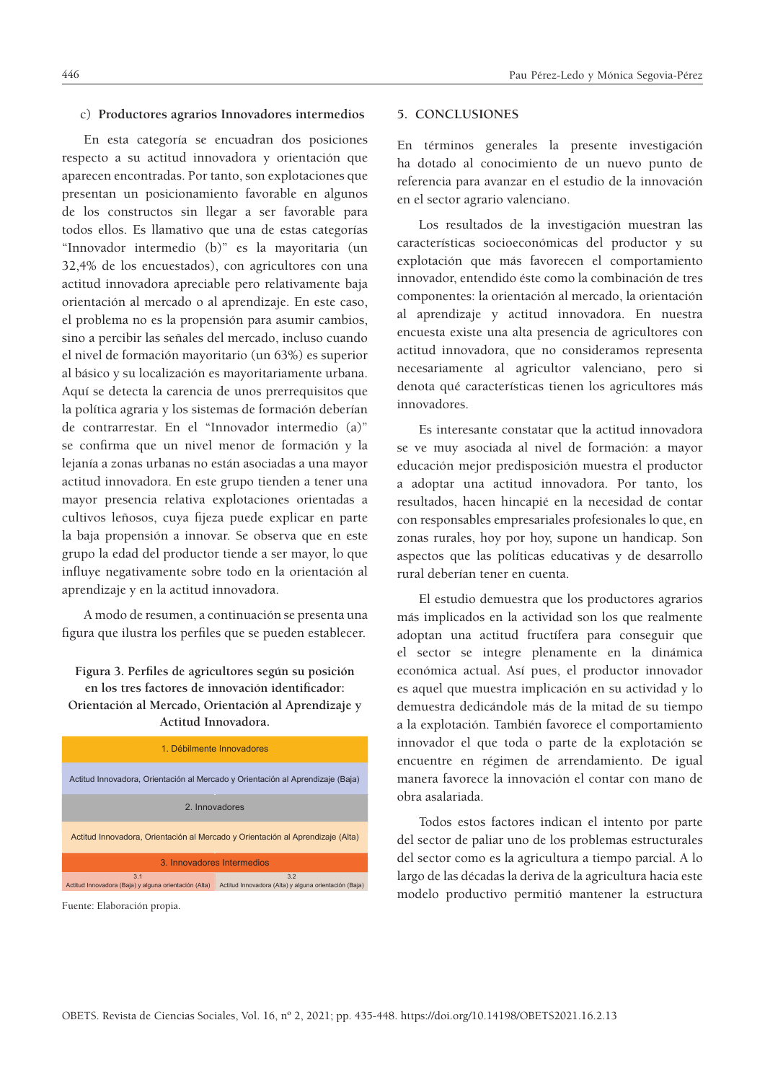#### c) **Productores agrarios Innovadores intermedios**

En esta categoría se encuadran dos posiciones respecto a su actitud innovadora y orientación que aparecen encontradas. Por tanto, son explotaciones que presentan un posicionamiento favorable en algunos de los constructos sin llegar a ser favorable para todos ellos. Es llamativo que una de estas categorías "Innovador intermedio (b)" es la mayoritaria (un 32,4% de los encuestados), con agricultores con una actitud innovadora apreciable pero relativamente baja orientación al mercado o al aprendizaje. En este caso, el problema no es la propensión para asumir cambios, sino a percibir las señales del mercado, incluso cuando el nivel de formación mayoritario (un 63%) es superior al básico y su localización es mayoritariamente urbana. Aquí se detecta la carencia de unos prerrequisitos que la política agraria y los sistemas de formación deberían de contrarrestar. En el "Innovador intermedio (a)" se confirma que un nivel menor de formación y la lejanía a zonas urbanas no están asociadas a una mayor actitud innovadora. En este grupo tienden a tener una mayor presencia relativa explotaciones orientadas a cultivos leñosos, cuya fijeza puede explicar en parte la baja propensión a innovar. Se observa que en este grupo la edad del productor tiende a ser mayor, lo que influye negativamente sobre todo en la orientación al aprendizaje y en la actitud innovadora.

A modo de resumen, a continuación se presenta una figura que ilustra los perfiles que se pueden establecer.

# Figura 3. Perfiles de agricultores según su posición en los tres factores de innovación identificador: **Orientación al Mercado, Orientación al Aprendizaje y Actitud Innovadora.**

| 1 Débilmente Innovadores                                                                                                     |  |  |  |  |
|------------------------------------------------------------------------------------------------------------------------------|--|--|--|--|
| Actitud Innovadora, Orientación al Mercado y Orientación al Aprendizaje (Baja)                                               |  |  |  |  |
| 2 Innovadores                                                                                                                |  |  |  |  |
| Actitud Innovadora, Orientación al Mercado y Orientación al Aprendizaje (Alta)                                               |  |  |  |  |
| 3 Innovadores Intermedios                                                                                                    |  |  |  |  |
| 3.1<br>3.2<br>Actitud Innovadora (Baja) y alguna orientación (Alta)<br>Actitud Innovadora (Alta) y alguna orientación (Baja) |  |  |  |  |

Fuente: Elaboración propia.

#### **5. CONCLUSIONES**

En términos generales la presente investigación ha dotado al conocimiento de un nuevo punto de referencia para avanzar en el estudio de la innovación en el sector agrario valenciano.

Los resultados de la investigación muestran las características socioeconómicas del productor y su explotación que más favorecen el comportamiento innovador, entendido éste como la combinación de tres componentes: la orientación al mercado, la orientación al aprendizaje y actitud innovadora. En nuestra encuesta existe una alta presencia de agricultores con actitud innovadora, que no consideramos representa necesariamente al agricultor valenciano, pero si denota qué características tienen los agricultores más innovadores.

Es interesante constatar que la actitud innovadora se ve muy asociada al nivel de formación: a mayor educación mejor predisposición muestra el productor a adoptar una actitud innovadora. Por tanto, los resultados, hacen hincapié en la necesidad de contar con responsables empresariales profesionales lo que, en zonas rurales, hoy por hoy, supone un handicap. Son aspectos que las políticas educativas y de desarrollo rural deberían tener en cuenta.

El estudio demuestra que los productores agrarios más implicados en la actividad son los que realmente adoptan una actitud fructífera para conseguir que el sector se integre plenamente en la dinámica económica actual. Así pues, el productor innovador es aquel que muestra implicación en su actividad y lo demuestra dedicándole más de la mitad de su tiempo a la explotación. También favorece el comportamiento innovador el que toda o parte de la explotación se encuentre en régimen de arrendamiento. De igual manera favorece la innovación el contar con mano de obra asalariada.

Todos estos factores indican el intento por parte del sector de paliar uno de los problemas estructurales del sector como es la agricultura a tiempo parcial. A lo largo de las décadas la deriva de la agricultura hacia este modelo productivo permitió mantener la estructura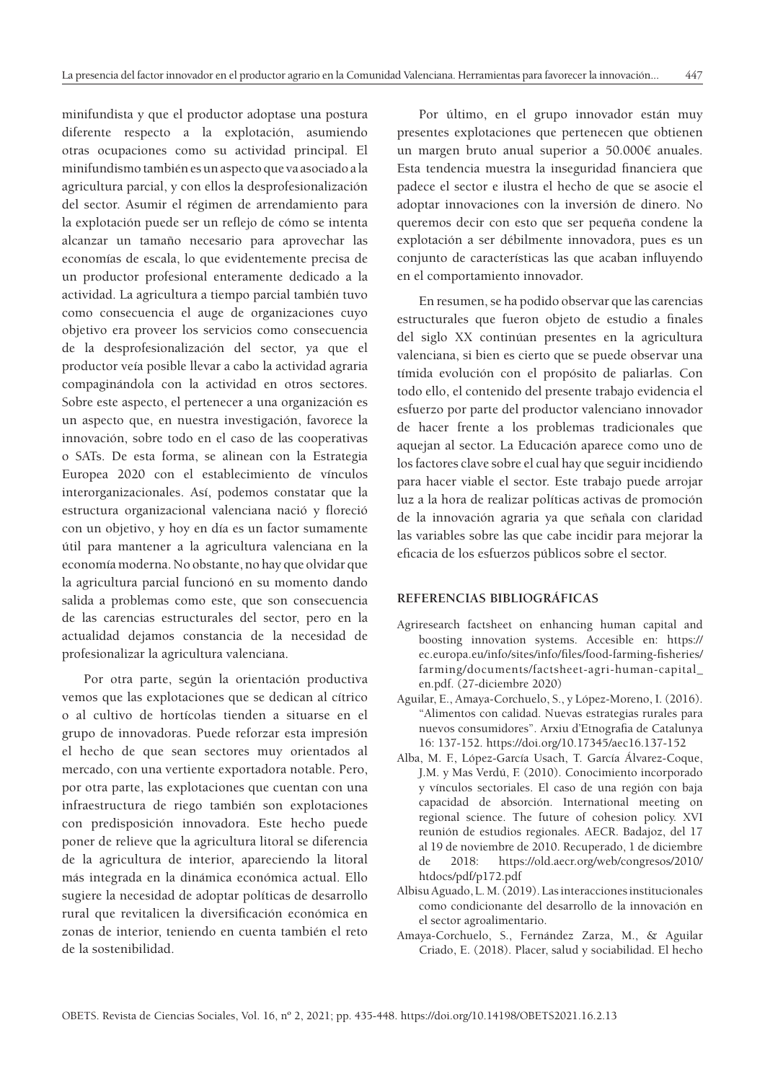minifundista y que el productor adoptase una postura diferente respecto a la explotación, asumiendo otras ocupaciones como su actividad principal. El minifundismo también es un aspecto que va asociado a la agricultura parcial, y con ellos la desprofesionalización del sector. Asumir el régimen de arrendamiento para la explotación puede ser un reflejo de cómo se intenta alcanzar un tamaño necesario para aprovechar las economías de escala, lo que evidentemente precisa de un productor profesional enteramente dedicado a la actividad. La agricultura a tiempo parcial también tuvo como consecuencia el auge de organizaciones cuyo objetivo era proveer los servicios como consecuencia de la desprofesionalización del sector, ya que el productor veía posible llevar a cabo la actividad agraria compaginándola con la actividad en otros sectores. Sobre este aspecto, el pertenecer a una organización es un aspecto que, en nuestra investigación, favorece la innovación, sobre todo en el caso de las cooperativas o SATs. De esta forma, se alinean con la Estrategia Europea 2020 con el establecimiento de vínculos interorganizacionales. Así, podemos constatar que la estructura organizacional valenciana nació y floreció con un objetivo, y hoy en día es un factor sumamente útil para mantener a la agricultura valenciana en la economía moderna. No obstante, no hay que olvidar que la agricultura parcial funcionó en su momento dando salida a problemas como este, que son consecuencia de las carencias estructurales del sector, pero en la actualidad dejamos constancia de la necesidad de profesionalizar la agricultura valenciana.

Por otra parte, según la orientación productiva vemos que las explotaciones que se dedican al cítrico o al cultivo de hortícolas tienden a situarse en el grupo de innovadoras. Puede reforzar esta impresión el hecho de que sean sectores muy orientados al mercado, con una vertiente exportadora notable. Pero, por otra parte, las explotaciones que cuentan con una infraestructura de riego también son explotaciones con predisposición innovadora. Este hecho puede poner de relieve que la agricultura litoral se diferencia de la agricultura de interior, apareciendo la litoral más integrada en la dinámica económica actual. Ello sugiere la necesidad de adoptar políticas de desarrollo rural que revitalicen la diversificación económica en zonas de interior, teniendo en cuenta también el reto de la sostenibilidad.

Por último, en el grupo innovador están muy presentes explotaciones que pertenecen que obtienen un margen bruto anual superior a 50.000€ anuales. Esta tendencia muestra la inseguridad financiera que padece el sector e ilustra el hecho de que se asocie el adoptar innovaciones con la inversión de dinero. No queremos decir con esto que ser pequeña condene la explotación a ser débilmente innovadora, pues es un conjunto de características las que acaban influyendo en el comportamiento innovador.

En resumen, se ha podido observar que las carencias estructurales que fueron objeto de estudio a finales del siglo XX continúan presentes en la agricultura valenciana, si bien es cierto que se puede observar una tímida evolución con el propósito de paliarlas. Con todo ello, el contenido del presente trabajo evidencia el esfuerzo por parte del productor valenciano innovador de hacer frente a los problemas tradicionales que aquejan al sector. La Educación aparece como uno de los factores clave sobre el cual hay que seguir incidiendo para hacer viable el sector. Este trabajo puede arrojar luz a la hora de realizar políticas activas de promoción de la innovación agraria ya que señala con claridad las variables sobre las que cabe incidir para mejorar la eficacia de los esfuerzos públicos sobre el sector.

#### **REFERENCIAS BIBLIOGRÁFICAS**

- Agriresearch factsheet on enhancing human capital and boosting innovation systems. Accesible en: https:// ec.europa.eu/info/sites/info/files/food-farming-fisheries/ farming/documents/factsheet-agri-human-capital\_ en.pdf. (27-diciembre 2020)
- Aguilar, E., Amaya-Corchuelo, S., y López-Moreno, I. (2016). "Alimentos con calidad. Nuevas estrategias rurales para nuevos consumidores". Arxiu d'Etnografia de Catalunya 16: 137-152. https://doi.org/10.17345/aec16.137-152
- Alba, M. F., López-García Usach, T. García Álvarez-Coque, J.M. y Mas Verdú, F. (2010). Conocimiento incorporado y vínculos sectoriales. El caso de una región con baja capacidad de absorción. International meeting on regional science. The future of cohesion policy. XVI reunión de estudios regionales. AECR. Badajoz, del 17 al 19 de noviembre de 2010. Recuperado, 1 de diciembre de 2018: https://old.aecr.org/web/congresos/2010/ htdocs/pdf/p172.pdf
- Albisu Aguado, L. M. (2019). Las interacciones institucionales como condicionante del desarrollo de la innovación en el sector agroalimentario.
- Amaya-Corchuelo, S., Fernández Zarza, M., & Aguilar Criado, E. (2018). Placer, salud y sociabilidad. El hecho